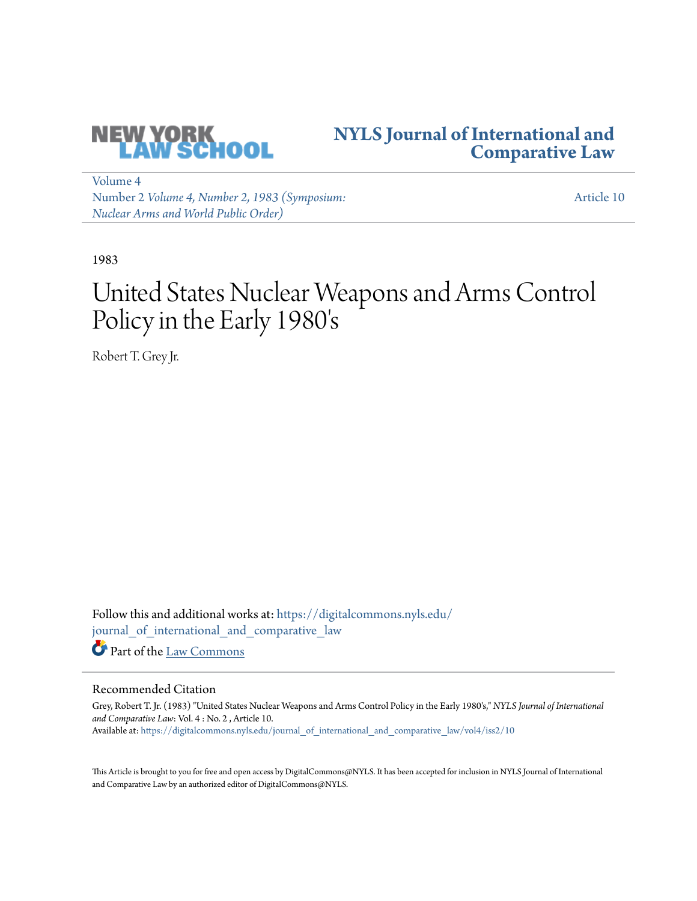

# **[NYLS Journal of International and](https://digitalcommons.nyls.edu/journal_of_international_and_comparative_law?utm_source=digitalcommons.nyls.edu%2Fjournal_of_international_and_comparative_law%2Fvol4%2Fiss2%2F10&utm_medium=PDF&utm_campaign=PDFCoverPages) [Comparative Law](https://digitalcommons.nyls.edu/journal_of_international_and_comparative_law?utm_source=digitalcommons.nyls.edu%2Fjournal_of_international_and_comparative_law%2Fvol4%2Fiss2%2F10&utm_medium=PDF&utm_campaign=PDFCoverPages)**

[Volume 4](https://digitalcommons.nyls.edu/journal_of_international_and_comparative_law/vol4?utm_source=digitalcommons.nyls.edu%2Fjournal_of_international_and_comparative_law%2Fvol4%2Fiss2%2F10&utm_medium=PDF&utm_campaign=PDFCoverPages) Number 2 *[Volume 4, Number 2, 1983 \(Symposium:](https://digitalcommons.nyls.edu/journal_of_international_and_comparative_law/vol4/iss2?utm_source=digitalcommons.nyls.edu%2Fjournal_of_international_and_comparative_law%2Fvol4%2Fiss2%2F10&utm_medium=PDF&utm_campaign=PDFCoverPages) [Nuclear Arms and World Public Order\)](https://digitalcommons.nyls.edu/journal_of_international_and_comparative_law/vol4/iss2?utm_source=digitalcommons.nyls.edu%2Fjournal_of_international_and_comparative_law%2Fvol4%2Fiss2%2F10&utm_medium=PDF&utm_campaign=PDFCoverPages)*

[Article 10](https://digitalcommons.nyls.edu/journal_of_international_and_comparative_law/vol4/iss2/10?utm_source=digitalcommons.nyls.edu%2Fjournal_of_international_and_comparative_law%2Fvol4%2Fiss2%2F10&utm_medium=PDF&utm_campaign=PDFCoverPages)

1983

# United States Nuclear Weapons and Arms Control Policy in the Early 1980's

Robert T. Grey Jr.

Follow this and additional works at: [https://digitalcommons.nyls.edu/](https://digitalcommons.nyls.edu/journal_of_international_and_comparative_law?utm_source=digitalcommons.nyls.edu%2Fjournal_of_international_and_comparative_law%2Fvol4%2Fiss2%2F10&utm_medium=PDF&utm_campaign=PDFCoverPages) [journal\\_of\\_international\\_and\\_comparative\\_law](https://digitalcommons.nyls.edu/journal_of_international_and_comparative_law?utm_source=digitalcommons.nyls.edu%2Fjournal_of_international_and_comparative_law%2Fvol4%2Fiss2%2F10&utm_medium=PDF&utm_campaign=PDFCoverPages) Part of the [Law Commons](http://network.bepress.com/hgg/discipline/578?utm_source=digitalcommons.nyls.edu%2Fjournal_of_international_and_comparative_law%2Fvol4%2Fiss2%2F10&utm_medium=PDF&utm_campaign=PDFCoverPages)

## Recommended Citation

Grey, Robert T. Jr. (1983) "United States Nuclear Weapons and Arms Control Policy in the Early 1980's," *NYLS Journal of International and Comparative Law*: Vol. 4 : No. 2 , Article 10. Available at: [https://digitalcommons.nyls.edu/journal\\_of\\_international\\_and\\_comparative\\_law/vol4/iss2/10](https://digitalcommons.nyls.edu/journal_of_international_and_comparative_law/vol4/iss2/10?utm_source=digitalcommons.nyls.edu%2Fjournal_of_international_and_comparative_law%2Fvol4%2Fiss2%2F10&utm_medium=PDF&utm_campaign=PDFCoverPages)

This Article is brought to you for free and open access by DigitalCommons@NYLS. It has been accepted for inclusion in NYLS Journal of International and Comparative Law by an authorized editor of DigitalCommons@NYLS.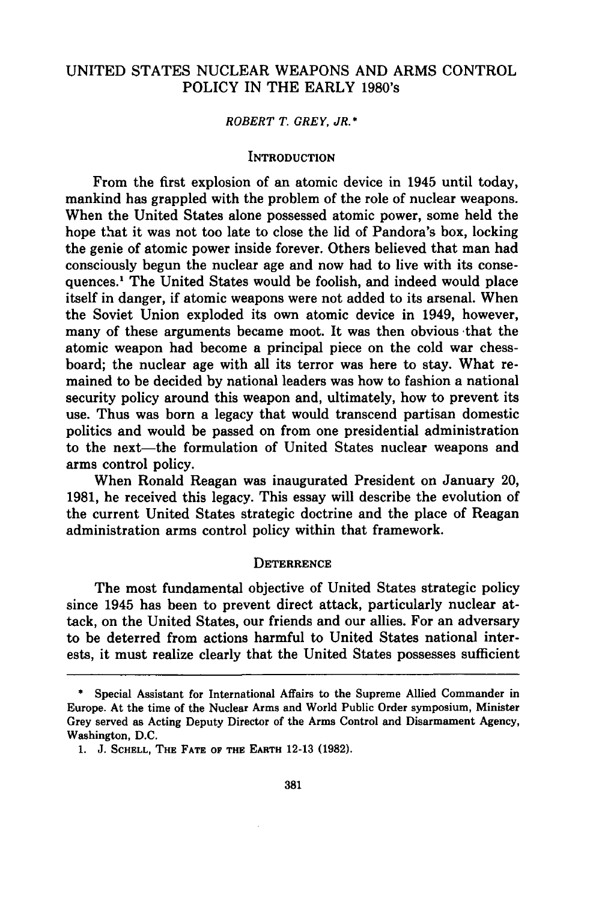### UNITED STATES NUCLEAR WEAPONS AND ARMS CONTROL POLICY IN THE EARLY 1980's

#### *ROBERT T. GREY, JR.\**

#### **INTRODUCTION**

From the first explosion of an atomic device in 1945 until today, mankind has grappled with the problem of the role of nuclear weapons. When the United States alone possessed atomic power, some held the hope that it was not too late to close the lid of Pandora's box, locking the genie of atomic power inside forever. Others believed that man had consciously begun the nuclear age and now had to live with its consequences.' The United States would be foolish, and indeed would place itself in danger, if atomic weapons were not added to its arsenal. When the Soviet Union exploded its own atomic device in 1949, however, many of these arguments became moot. It was then obvious -that the atomic weapon had become a principal piece on the cold war chessboard; the nuclear age with all its terror was here to stay. What remained to be decided by national leaders was how to fashion a national security policy around this weapon and, ultimately, how to prevent its use. Thus was born a legacy that would transcend partisan domestic politics and would be passed on from one presidential administration to the next—the formulation of United States nuclear weapons and arms control policy.

When Ronald Reagan was inaugurated President on January 20, 1981, he received this legacy. This essay will describe the evolution of the current United States strategic doctrine and the place of Reagan administration arms control policy within that framework.

#### **DETERRENCE**

The most fundamental objective of United States strategic policy since 1945 has been to prevent direct attack, particularly nuclear attack, on the United States, our friends and our allies. For an adversary to be deterred from actions harmful to United States national interests, it must realize clearly that the United States possesses sufficient

Special Assistant for International Affairs to the Supreme Allied Commander in Europe. At the time of the Nuclear Arms and World Public Order symposium, Minister Grey served as Acting Deputy Director of the Arms Control and Disarmament Agency, Washington, **D.C.**

**<sup>1.</sup> J. SCHELL, THE FATE OF THE EARTH 12-13 (1982).**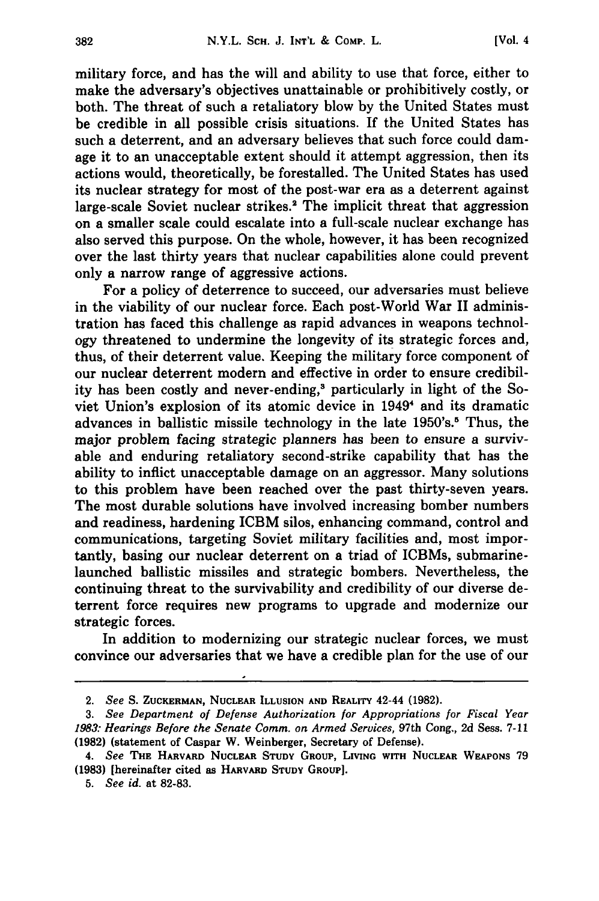military force, and has the will and ability to use that force, either to make the adversary's objectives unattainable or prohibitively costly, or both. The threat of such a retaliatory blow **by** the United States must be credible in all possible crisis situations. **If** the United States has such a deterrent, and an adversary believes that such force could damage it to an unacceptable extent should it attempt aggression, then its actions would, theoretically, be forestalled. The United States has used its nuclear strategy for most of the post-war era as a deterrent against large-scale Soviet nuclear strikes.<sup>2</sup> The implicit threat that aggression on a smaller scale could escalate into a full-scale nuclear exchange has also served this purpose. On the whole, however, it has been recognized over the last thirty years that nuclear capabilities alone could prevent only a narrow range of aggressive actions.

For a policy of deterrence to succeed, our adversaries must believe in the viability of our nuclear force. Each post-World War II administration has faced this challenge as rapid advances in weapons technology threatened to undermine the longevity of its strategic forces and, thus, of their deterrent value. Keeping the military force component of our nuclear deterrent modern and effective in order to ensure credibility has been costly and never-ending,<sup>3</sup> particularly in light of the Soviet Union's explosion of its atomic device in 1949<sup>4</sup> and its dramatic advances in ballistic missile technology in the late 1950's.<sup>5</sup> Thus, the major problem facing strategic planners has been to ensure a survivable and enduring retaliatory second-strike capability that has the ability to inflict unacceptable damage on an aggressor. Many solutions to this problem have been reached over the past thirty-seven years. The most durable solutions have involved increasing bomber numbers and readiness, hardening ICBM silos, enhancing command, control and communications, targeting Soviet military facilities and, most importantly, basing our nuclear deterrent on a triad of ICBMs, submarinelaunched ballistic missiles and strategic bombers. Nevertheless, the continuing threat to the survivability and credibility of our diverse deterrent force requires new programs to upgrade and modernize our strategic forces.

In addition to modernizing our strategic nuclear forces, we must convince our adversaries that we have a credible plan for the use of our

**<sup>2.</sup>** *See* S. **ZUCKERMAN, NUCLEAR ILLUSION AND REALITY 42-44 (1982).**

*<sup>3.</sup> See Department of Defense Authorization for Appropriations for Fiscal Year 1983: Hearings Before the Senate Comm. on Armed Services,* 97th Cong., 2d Sess. 7-11 **(1982)** (statement of Caspar W. Weinberger, Secretary of Defense).

*<sup>4.</sup> See* **THE** HARVARD NUCLEAR **STUDY GROUP, LIVING WITH NUCLEAR WEAPONS** 79 **(1983)** [hereinafter cited **as** HARVARD **STUDY GROUP].**

*<sup>5.</sup> See id.* at 82-83.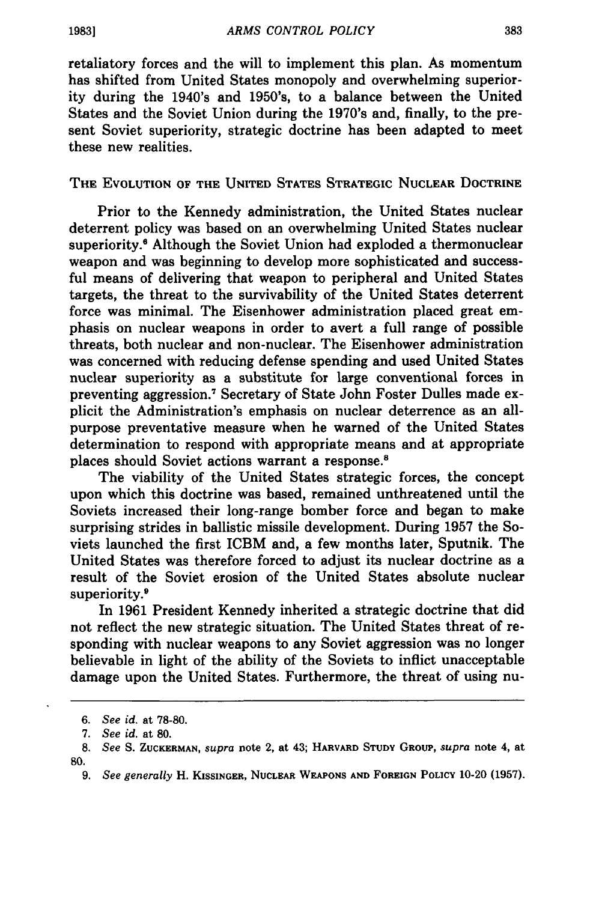retaliatory forces and the will to implement this plan. As momentum has shifted from United States monopoly and overwhelming superiority during the 1940's and 1950's, to a balance between the United States and the Soviet Union during the 1970's and, finally, to the present Soviet superiority, strategic doctrine has been adapted to meet these new realities.

**THE EVOLUTION OF THE UNITED STATES STRATEGIC NUCLEAR DOCTRINE**

Prior to the Kennedy administration, the United States nuclear deterrent policy was based on an overwhelming United States nuclear superiority.<sup>6</sup> Although the Soviet Union had exploded a thermonuclear weapon and was beginning to develop more sophisticated and successful means of delivering that weapon to peripheral and United States targets, the threat to the survivability of the United States deterrent force was minimal. The Eisenhower administration placed great emphasis on nuclear weapons in order to avert a full range of possible threats, both nuclear and non-nuclear. The Eisenhower administration was concerned with reducing defense spending and used United States nuclear superiority as a substitute for large conventional forces in preventing aggression.7 Secretary of State John Foster Dulles made explicit the Administration's emphasis on nuclear deterrence as an allpurpose preventative measure when he warned of the United States determination to respond with appropriate means and at appropriate places should Soviet actions warrant a response.'

The viability of the United States strategic forces, the concept upon which this doctrine was based, remained unthreatened until the Soviets increased their long-range bomber force and began to make surprising strides in ballistic missile development. During **1957** the Soviets launched the first ICBM and, a few months later, Sputnik. The United States was therefore forced to adjust its nuclear doctrine as a result of the Soviet erosion of the United States absolute nuclear superiority.<sup>9</sup>

In **1961** President Kennedy inherited a strategic doctrine that did not reflect the new strategic situation. The United States threat of responding with nuclear weapons to any Soviet aggression was no longer believable in light of the ability of the Soviets to inflict unacceptable damage upon the United States. Furthermore, the threat of using nu-

**<sup>6.</sup>** *See id.* at **78-80.**

*<sup>7.</sup> See id.* at **80.**

**<sup>8.</sup>** *See* **S. ZUCKERMAN,** *supra* **note 2, at 43; HARVARD STUDY GROUP,** *supra* **note 4, at 80.**

*<sup>9.</sup> See generally* **H. KISSINGER, NUCLEAR WEAPONS AND FOREIGN POLICY 10-20 (1957).**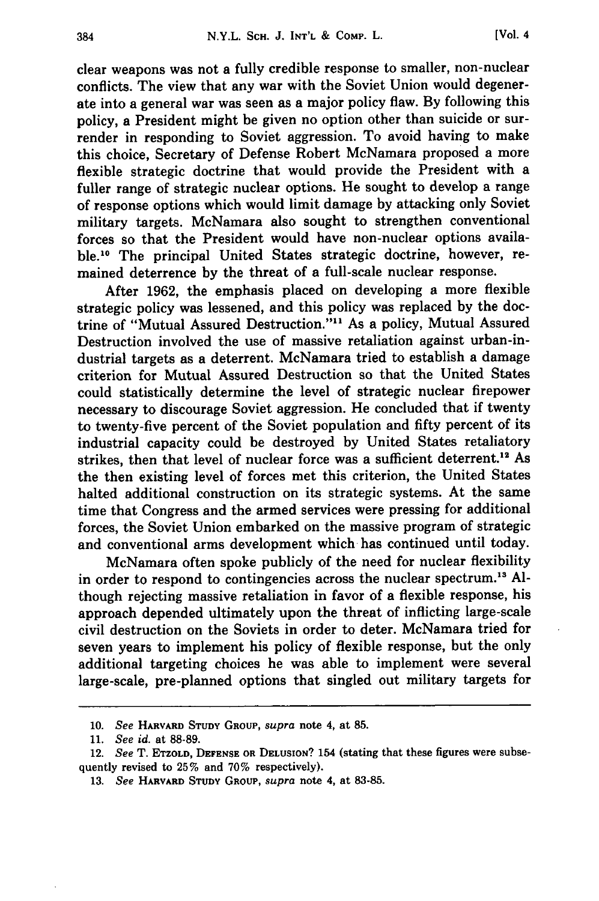clear weapons was not a fully credible response to smaller, non-nuclear conflicts. The view that any war with the Soviet Union would degenerate into a general war was seen as a major policy flaw. **By** following this policy, a President might be given no option other than suicide or surrender in responding to Soviet aggression. To avoid having to make this choice, Secretary of Defense Robert McNamara proposed a more flexible strategic doctrine that would provide the President with a fuller range of strategic nuclear options. He sought to develop a range of response options which would limit damage by attacking only Soviet military targets. McNamara also sought to strengthen conventional forces so that the President would have non-nuclear options available.<sup>10</sup> The principal United States strategic doctrine, however, remained deterrence by the threat of a full-scale nuclear response.

After **1962,** the emphasis placed on developing a more flexible strategic policy was lessened, and this policy was replaced by the doctrine of "Mutual Assured Destruction."<sup>11</sup> As a policy, Mutual Assured Destruction involved the use of massive retaliation against urban-industrial targets as a deterrent. McNamara tried to establish a damage criterion for Mutual Assured Destruction so that the United States could statistically determine the level of strategic nuclear firepower necessary to discourage Soviet aggression. He concluded that if twenty to twenty-five percent of the Soviet population and **fifty** percent of its industrial capacity could be destroyed by United States retaliatory strikes, then that level of nuclear force was a sufficient deterrent.<sup>12</sup> As the then existing level of forces met this criterion, the United States halted additional construction on its strategic systems. At the same time that Congress and the armed services were pressing for additional forces, the Soviet Union embarked on the massive program of strategic and conventional arms development which has continued until today.

McNamara often spoke publicly of the need for nuclear flexibility in order to respond to contingencies across the nuclear spectrum." Although rejecting massive retaliation in favor of a flexible response, his approach depended ultimately upon the threat of inflicting large-scale civil destruction on the Soviets in order to deter. McNamara tried for seven years to implement his policy of flexible response, but the only additional targeting choices he was able to implement were several large-scale, pre-planned options that singled out military targets for

*<sup>10.</sup> See* **HARVARD STUDY** GROUP, *supra* note 4, at **85.**

<sup>11.</sup> *See id.* at **88-89.**

<sup>12.</sup> *See* T. ETZOLD, **DEFENSE** OR **DELUsION?** 154 (stating that these figures were subsequently revised to **25%** and **70%** respectively).

**<sup>13.</sup>** *See* HARVARD **STUDY** GROUP, *supra* note 4, at 83-85.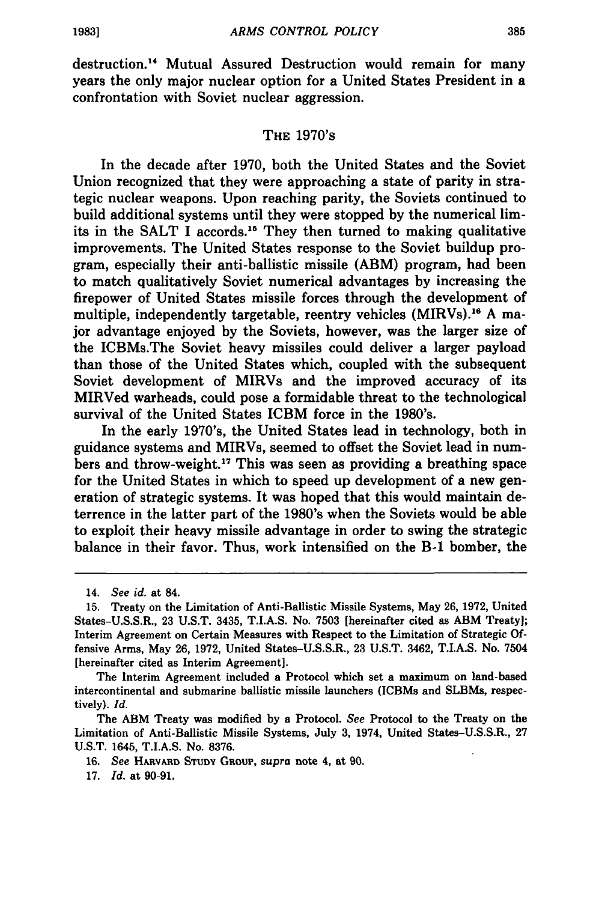destruction." Mutual Assured Destruction would remain for many years the only major nuclear option for a United States President in a confrontation with Soviet nuclear aggression.

#### THE 1970's

In the decade after **1970,** both the United States and the Soviet Union recognized that they were approaching a state of parity in strategic nuclear weapons. Upon reaching parity, the Soviets continued to build additional systems until they were stopped **by** the numerical limits in the SALT I accords.<sup>15</sup> They then turned to making qualitative improvements. The United States response to the Soviet buildup program, especially their anti-ballistic missile (ABM) program, had been to match qualitatively Soviet numerical advantages **by** increasing the firepower of United States missile forces through the development of multiple, independently targetable, reentry vehicles (MIRVs).<sup>16</sup> A major advantage enjoyed **by** the Soviets, however, was the larger size of the ICBMs.The Soviet heavy missiles could deliver a larger payload than those of the United States which, coupled with the subsequent Soviet development of MIRVs and the improved accuracy of its MIRVed warheads, could pose a formidable threat to the technological survival of the United States ICBM force in the 1980's.

In the early 1970's, the United States lead in technology, both in guidance systems and MIRVs, seemed to offset the Soviet lead in numbers and throw-weight.17 This was seen as providing a breathing space for the United States in which to speed up development of a new generation of strategic systems. It was hoped that this would maintain deterrence in the latter part of the 1980's when the Soviets would be able to exploit their heavy missile advantage in order to swing the strategic balance in their favor. Thus, work intensified on the **B-1** bomber, the

The Interim Agreement included a Protocol which set a maximum on land-based intercontinental and submarine ballistic missile launchers (ICBMs and SLBMs, respectively). *Id.*

The ABM Treaty was modified **by** a Protocol. *See* Protocol to the Treaty on the Limitation of Anti-Ballistic Missile Systems, July **3,** 1974, United States-U.S.S.R., **27 U.S.T.** 1645, **T.I.A.S.** No. **8376.**

**16.** *See* **HARVARD STUDY** GRoup, *supra* note 4, at **90.**

17. *Id.* at 90-91.

<sup>14.</sup> *See id.* at 84.

**<sup>15.</sup>** Treaty on the Limitation of Anti-Ballistic Missile Systems, May **26, 1972,** United States-U.S.S.R., **23 U.S.T.** 3435, **T.I.A.S.** No. **7503** [hereinafter cited as ABM Treaty]; Interim Agreement on Certain Measures with Respect to the Limitation of Strategic **Of**fensive Arms, May **26, 1972,** United States-U.S.S.R., **23 U.S.T.** 3462, T.I.A.S. No. 7504 [hereinafter cited as Interim Agreement].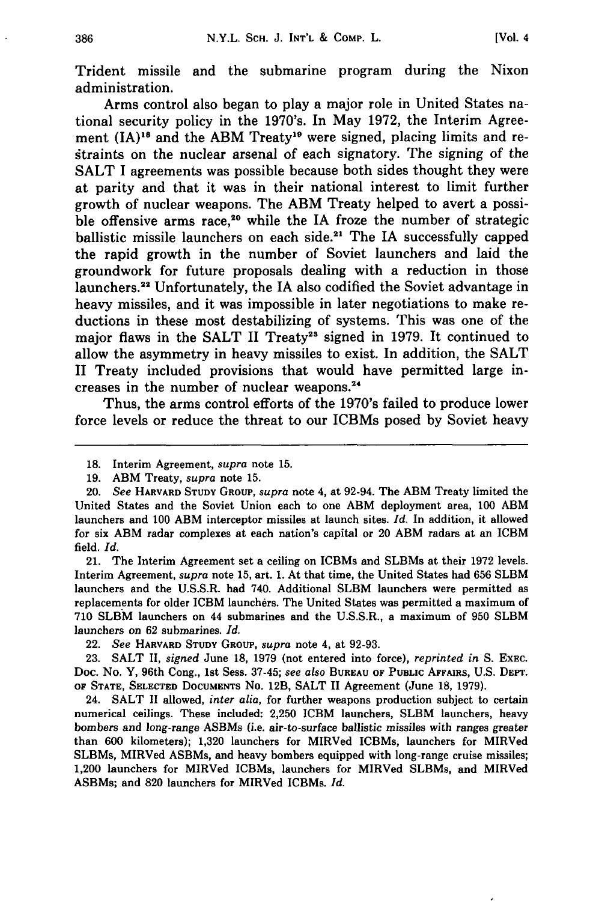Trident missile and the submarine program during the Nixon administration.

Arms control also began to play a major role in United States national security policy in the 1970's. In May **1972,** the Interim Agreement  $(IA)^{18}$  and the ABM Treaty<sup>19</sup> were signed, placing limits and restraints on the nuclear arsenal of each signatory. The signing of the **SALT I** agreements was possible because both sides thought they were at parity and that it was in their national interest to limit further growth of nuclear weapons. The ABM Treaty helped to avert a possible offensive arms race,<sup>20</sup> while the IA froze the number of strategic ballistic missile launchers on each side.<sup>21</sup> The IA successfully capped the rapid growth in the number of Soviet launchers and laid the groundwork for future proposals dealing with a reduction in those launchers.22 Unfortunately, the IA also codified the Soviet advantage in heavy missiles, and it was impossible in later negotiations to make reductions in these most destabilizing of systems. This was one of the major flaws in the SALT II Treaty<sup>23</sup> signed in 1979. It continued to allow the asymmetry in heavy missiles to exist. In addition, the **SALT** II Treaty included provisions that would have permitted large increases in the number of nuclear weapons.<sup>24</sup>

Thus, the arms control efforts of the 1970's failed to produce lower force levels or reduce the threat to our ICBMs posed **by** Soviet heavy

21. The Interim Agreement set a ceiling on ICBMs and SLBMs at their **1972** levels. Interim Agreement, *supra* note **15,** art. **1.** At that time, the United States had **656** SLBM launchers and the **U.S.S.R.** had 740. Additional SLBM launchers were permitted as replacements for older ICBM launchers. The United States was permitted a maximum of **710 SLBM** launchers on 44 submarines and the **U.S.S.R.,** a maximum of **950** SLBM launchers on **62** submarines. *Id.*

**<sup>18.</sup>** Interim Agreement, *supra* note **15.**

**<sup>19.</sup>** ABM Treaty, *supra* note **15.**

<sup>20.</sup> *See* HARVARD **STUDY GROUP,** *supra* note 4, at 92-94. The ABM Treaty limited the United States and the Soviet Union each to one ABM deployment area, **100 ABM** launchers and **100 ABM** interceptor missiles at launch sites. *Id.* In addition, it allowed for six ABM radar complexes at each nation's capital or 20 **ABM** radars at an ICBM field. *Id.*

<sup>22.</sup> *See* HARVARD **STUDY GROUP,** *supra* note 4, at **92-93.**

**<sup>23.</sup> SALT** II, *signed* June **18, 1979** (not entered into force), *reprinted in* **S. EXEC.** Doc. No. Y, 96th Cong., 1st Sess. **37-45;** *see also* **BUREAU OF PUBLIC** AFFAIRS, U.S. **DEPT. OF STATE, SELECTED DOCUMENTS** No. 12B, **SALT** II Agreement (June **18, 1979).**

<sup>24.</sup> **SALT** II allowed, *inter alia,* for further weapons production subject to certain numerical ceilings. These included: **2,250** ICBM launchers, SLBM launchers, heavy bombers and long-range ASBMs (i.e. air-to-surface ballistic missiles with ranges greater than **600** kilometers); **1,320** launchers for MIRVed ICBMs, launchers for MIRVed SLBMs, MIRVed ASBMs, and heavy bombers equipped with long-range cruise missiles; 1,200 launchers for MIRVed ICBMs, launchers for MIRVed SLBMs, and MIRVed ASBMs; and **820** launchers for MIRVed ICBMs. *Id.*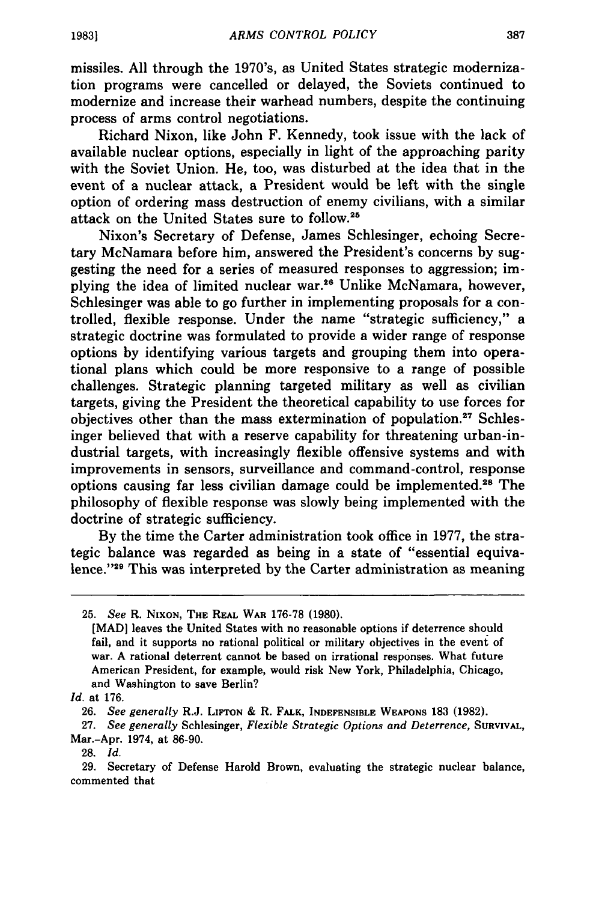missiles. All through the 1970's, as United States strategic modernization programs were cancelled or delayed, the Soviets continued to modernize and increase their warhead numbers, despite the continuing process of arms control negotiations.

Richard Nixon, like John F. Kennedy, took issue with the lack of available nuclear options, especially in light of the approaching parity with the Soviet Union. He, too, was disturbed at the idea that in the event of a nuclear attack, a President would be left with the single option of ordering mass destruction of enemy civilians, with a similar attack on the United States sure to follow.<sup>25</sup>

Nixon's Secretary of Defense, James Schlesinger, echoing Secretary McNamara before him, answered the President's concerns by suggesting the need for a series of measured responses to aggression; implying the idea of limited nuclear war.26 Unlike McNamara, however, Schlesinger was able to go further in implementing proposals for a controlled, flexible response. Under the name "strategic sufficiency," a strategic doctrine was formulated to provide a wider range of response options by identifying various targets and grouping them into operational plans which could be more responsive to a range of possible challenges. Strategic planning targeted military as well as civilian targets, giving the President the theoretical capability to use forces for objectives other than the mass extermination of population.<sup>27</sup> Schlesinger believed that with a reserve capability for threatening urban-industrial targets, with increasingly flexible offensive systems and with improvements in sensors, surveillance and command-control, response options causing far less civilian damage could be implemented.<sup>26</sup> The philosophy of flexible response was slowly being implemented with the doctrine of strategic sufficiency.

By the time the Carter administration took office in 1977, the strategic balance was regarded as being in a state of "essential equivalence."<sup>29</sup> This was interpreted by the Carter administration as meaning

**28.** *Id.*

**29.** Secretary of Defense Harold Brown, evaluating the strategic nuclear balance, commented that

<sup>25.</sup> *See* R. NIXON, **THE** REAL **WAR** 176-78 (1980).

<sup>[</sup>MAD] leaves the United States with no reasonable options if deterrence should fail, and it supports no rational political or military objectives in the event of war. **A** rational deterrent cannot be based on irrational responses. What future American President, for example, would risk New York, Philadelphia, Chicago, and Washington to save Berlin?

*Id.* at 176.

<sup>26.</sup> *See generally* R.J. **LIFTON &** R. **FALK, INDEFENSIBLE WEAPONS** 183 (1982).

**<sup>27.</sup>** *See generally* Schlesinger, *Flexible Strategic Options and Deterrence,* **SURVIVAL,** Mar.-Apr. 1974, at **86-90.**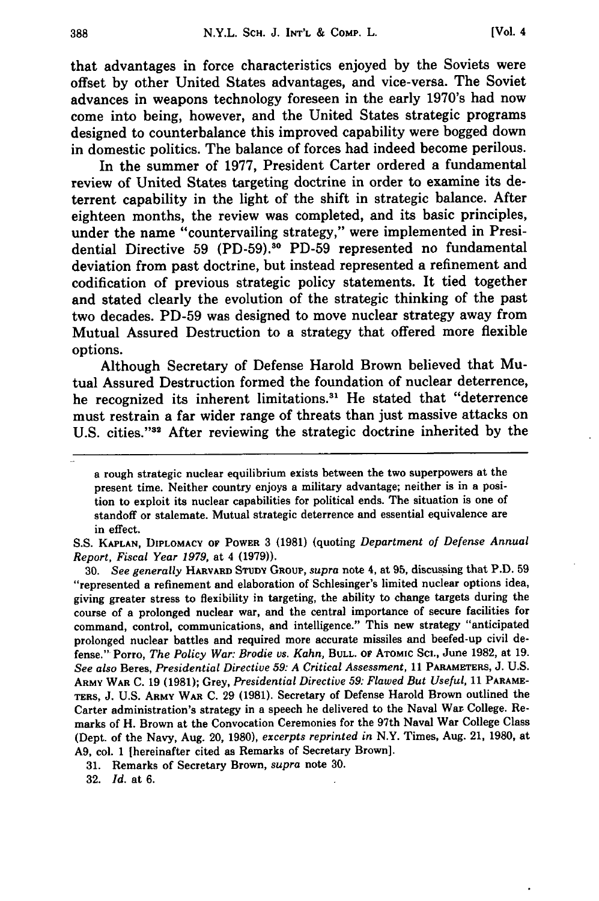that advantages in force characteristics enjoyed **by** the Soviets were offset **by** other United States advantages, and vice-versa. The Soviet advances in weapons technology foreseen in the early 1970's had now come into being, however, and the United States strategic programs designed to counterbalance this improved capability were bogged down in domestic politics. The balance of forces had indeed become perilous.

In the summer of **1977,** President Carter ordered a fundamental review of United States targeting doctrine in order to examine its deterrent capability in the light of the shift in strategic balance. After eighteen months, the review was completed, and its basic principles, under the name "countervailing strategy," were implemented in Presidential Directive **59 (PD-59).30 PD-59** represented no fundamental deviation from past doctrine, but instead represented a refinement and codification of previous strategic policy statements. It tied together and stated clearly the evolution of the strategic thinking of the past two decades. **PD-59** was designed to move nuclear strategy away from Mutual Assured Destruction to a strategy that offered more flexible options.

Although Secretary of Defense Harold Brown believed that Mutual Assured Destruction formed the foundation of nuclear deterrence, he recognized its inherent limitations.<sup>31</sup> He stated that "deterrence must restrain a far wider range of threats than just massive attacks on U.S. cities."<sup>32</sup> After reviewing the strategic doctrine inherited by the

**S.S. KAPLAN,** DIPLOMACY OF **POWER 3 (1981)** (quoting *Department of Defense Annual Report, Fiscal Year 1979,* at 4 **(1979)).**

**30.** *See generally* **HARVARD STUDY GROUP,** *supra* note 4, at **95,** discussing that P.D. **59** "represented a refinement and elaboration of Schlesinger's limited nuclear options idea, giving greater stress to flexibility in targeting, the ability to change targets during the course of a prolonged nuclear war, and the central importance of secure facilities for command, control, communications, and intelligence." This new strategy "anticipated prolonged nuclear battles and required more accurate missiles and beefed-up civil defense." Porro, *The Policy War: Brodie vs. Kahn,* **BULL. OF ATOMIC SCI.,** June **1982,** at **19.** *See also* Beres, *Presidential Directive 59: A Critical Assessment,* **11 PARAMETERS, J. U.S. ARMY WAR C. 19 (1981);** Grey, *Presidential Directive 59: Flawed But Useful,* **11 PARAME-TERS, J. U.S. ARMY WAR C. 29 (1981).** Secretary of Defense Harold Brown outlined the Carter administration's strategy in a speech he delivered to the Naval War, College. Remarks of H. Brown at the Convocation Ceremonies for the 97th Naval War College Class (Dept. of the Navy, Aug. 20, **1980),** *excerpts reprinted in* N.Y. Times, Aug. 21, **1980,** at **A9,** col. **1** [hereinafter cited as Remarks of Secretary Brown].

**31.** Remarks of Secretary Brown, *supra* note **30.**

**32.** *Id.* at **6.**

a rough strategic nuclear equilibrium exists between the two superpowers at the present time. Neither country enjoys a military advantage; neither is in a position to exploit its nuclear capabilities for political ends. The situation is one of standoff or stalemate. Mutual strategic deterrence and essential equivalence are in effect.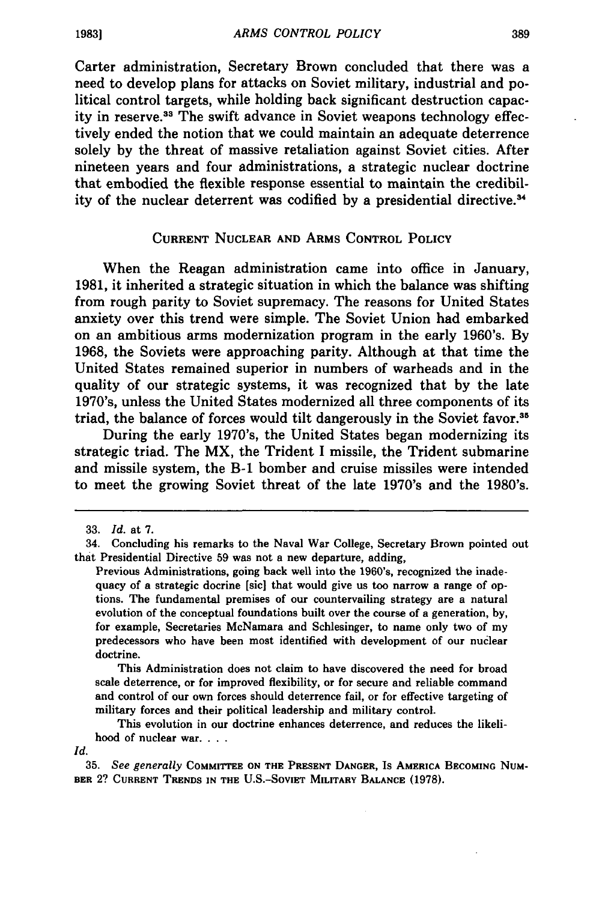Carter administration, Secretary Brown concluded that there was a need to develop plans for attacks on Soviet military, industrial and political control targets, while holding back significant destruction capacity in reserve.13 The swift advance in Soviet weapons technology effectively ended the notion that we could maintain an adequate deterrence solely **by** the threat of massive retaliation against Soviet cities. After nineteen years and four administrations, a strategic nuclear doctrine that embodied the flexible response essential to maintain the credibility of the nuclear deterrent was codified by a presidential directive.3 <sup>4</sup>

#### **CURRENT NUCLEAR AND ARMS CONTROL POLICY**

When the Reagan administration came into office in January, **1981,** it inherited a strategic situation in which the balance was shifting from rough parity to Soviet supremacy. The reasons for United States anxiety over this trend were simple. The Soviet Union had embarked on an ambitious arms modernization program in the early 1960's. **By 1968,** the Soviets were approaching parity. Although at that time the United States remained superior in numbers of warheads and in the quality of our strategic systems, it was recognized that **by** the late 1970's, unless the United States modernized all three components of its triad, the balance of forces would tilt dangerously in the Soviet favor.<sup>35</sup>

During the early 1970's, the United States began modernizing its strategic triad. The MX, the Trident **I** missile, the Trident submarine and missile system, the **B-1** bomber and cruise missiles were intended to meet the growing Soviet threat of the late 1970's and the 1980's.

This Administration does not claim to have discovered the need for broad scale deterrence, or for improved flexibility, or for secure and reliable command and control of our own forces should deterrence fail, or for effective targeting of military forces and their political leadership and military control.

This evolution in our doctrine enhances deterrence, and reduces the likelihood of nuclear war. . **..**

Id.

**35.** *See generally* COMMITTEE **ON THE PRESENT DANGER,** Is **AMERICA BECOMING NUM-BER** 2? **CURRENT TRENDS IN THE U.S.-SOVIET MILITARY BALANCE (1978).**

**1983]**

**<sup>33.</sup>** *Id.* at **7.**

<sup>34.</sup> Concluding his remarks to the Naval War College, Secretary Brown pointed out that Presidential Directive **59** was not a new departure, adding,

Previous Administrations, going back well into the 1960's, recognized the inadequacy of a strategic docrine [sic] that would give us too narrow a range of options. The fundamental premises of our countervailing strategy are a natural evolution of the conceptual foundations built over the course of a generation, **by,** for example, Secretaries McNamara and Schlesinger, to name only two of my predecessors who have been most identified with development of our nuclear doctrine.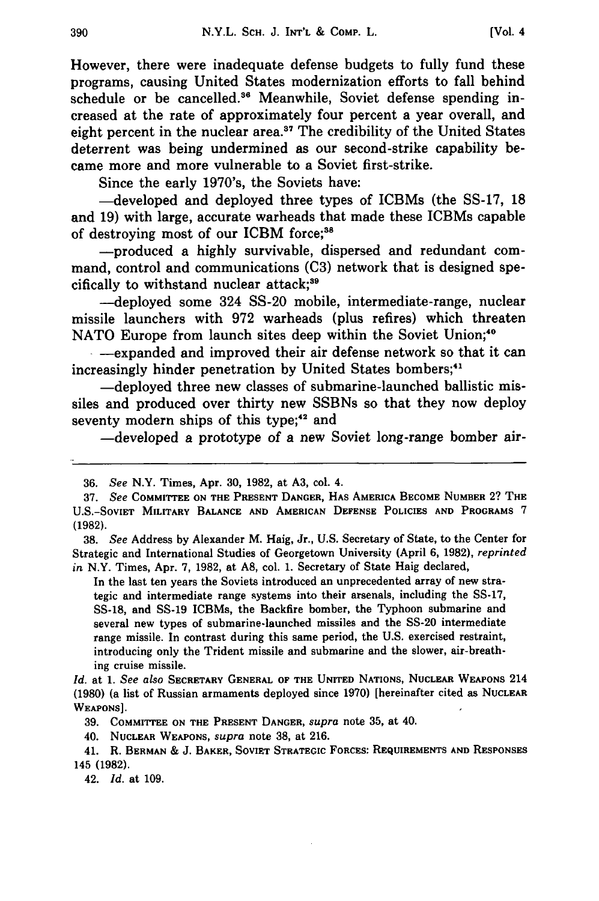However, there were inadequate defense budgets to fully fund these programs, causing United States modernization efforts to fall behind schedule or be cancelled.<sup>36</sup> Meanwhile, Soviet defense spending increased at the rate of approximately four percent a year overall, and eight percent in the nuclear area.<sup>37</sup> The credibility of the United States deterrent was being undermined as our second-strike capability became more and more vulnerable to a Soviet first-strike.

Since the early 1970's, the Soviets have:

-developed and deployed three types of ICBMs (the SS-17, 18 and 19) with large, accurate warheads that made these ICBMs capable of destroying most of our ICBM force;<sup>38</sup>

-produced a highly survivable, dispersed and redundant command, control and communications (C3) network that is designed specifically to withstand nuclear attack;'

-deployed some 324 SS-20 mobile, intermediate-range, nuclear missile launchers with 972 warheads (plus refires) which threaten NATO Europe from launch sites deep within the Soviet Union;<sup>40</sup>

-- expanded and improved their air defense network so that it can increasingly hinder penetration by United States bombers;<sup>41</sup>

-deployed three new classes of submarine-launched ballistic missiles and produced over thirty new SSBNs so that they now deploy seventy modern ships of this type;<sup>42</sup> and

-developed a prototype of a new Soviet long-range bomber air-

**38.** *See* Address **by** Alexander M. Haig, Jr., **U.S.** Secretary of State, to the Center for Strategic and International Studies of Georgetown University (April **6, 1982),** *reprinted in* N.Y. Times, Apr. **7, 1982,** at **A8,** col. **1.** Secretary of State Haig declared,

In the last ten years the Soviets introduced an unprecedented array of new strategic and intermediate range systems into their arsenals, including the **SS-17, SS-18,** and **SS-19** ICBMs, the Backfire bomber, the Typhoon submarine and several new types of submarine-launched missiles and the **SS-20** intermediate range missile. In contrast during this same period, the **U.S.** exercised restraint, introducing only the Trident missile and submarine and the slower, air-breathing cruise missile.

42. *Id.* **at 109.**

<sup>36.</sup> *See* N.Y. Times, Apr. 30, 1982, at A3, col. 4.

**<sup>37.</sup>** *See* **COMMITTEE ON THE PRESENT DANGER, HAS** AMERICA **BECOME NUMBER** 2? **THE U.S.-SOVIET MILITARY BALANCE AND AMERICAN DEFENSE POLICIES AND PROGRAMS 7 (1982).**

*Id.* at *1. See also* **SECRETARY GENERAL** OF **THE UNITED NATIONS, NUCLEAR WEAPONS** 214 **(1980)** (a list of Russian armaments deployed since **1970)** [hereinafter cited as **NUCLEAR WEAPONS].**

**<sup>39.</sup> COMMITTEE ON THE PRESENT DANGER,** *supra* note **35,** at 40.

<sup>40.</sup> **NUCLEAR WEAPONS,** *supra* **note 38, at 216.**

<sup>41.</sup> R. **BERMAN & J. BAKER, SOVIET STRATEGIC FORCES: REQUIREMENTS AND RESPONSES** 145 **(1982).**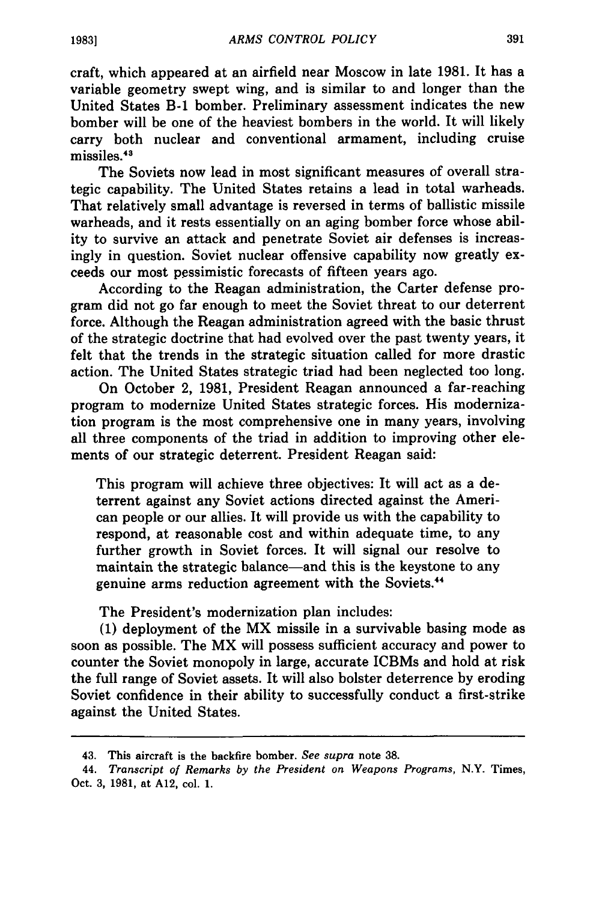craft, which appeared at an airfield near Moscow in late **1981.** It has a variable geometry swept wing, and is similar to and longer than the United States **B-1** bomber. Preliminary assessment indicates the new bomber will be one of the heaviest bombers in the world. It will likely carry both nuclear and conventional armament, including cruise missiles.43

The Soviets now lead in most significant measures of overall strategic capability. The United States retains a lead in total warheads. That relatively small advantage is reversed in terms of ballistic missile warheads, and it rests essentially on an aging bomber force whose ability to survive an attack and penetrate Soviet air defenses is increasingly in question. Soviet nuclear offensive capability now greatly exceeds our most pessimistic forecasts of fifteen years ago.

According to the Reagan administration, the Carter defense program did not go far enough to meet the Soviet threat to our deterrent force. Although the Reagan administration agreed with the basic thrust of the strategic doctrine that had evolved over the past twenty years, it felt that the trends in the strategic situation called for more drastic action. The United States strategic triad had been neglected too long.

On October 2, **1981,** President Reagan announced a far-reaching program to modernize United States strategic forces. His modernization program is the most comprehensive one in many years, involving all three components of the triad in addition to improving other elements of our strategic deterrent. President Reagan said:

This program will achieve three objectives: It will act as a deterrent against any Soviet actions directed against the American people or our allies. It will provide us with the capability to respond, at reasonable cost and within adequate time, to any further growth in Soviet forces. It will signal our resolve to maintain the strategic balance-and this is the keystone to any genuine arms reduction agreement with the Soviets."

The President's modernization plan includes:

**(1)** deployment of the MX missile in a survivable basing mode as soon as possible. The MX will possess sufficient accuracy and power to counter the Soviet monopoly in large, accurate ICBMs and hold at risk the full range of Soviet assets. It will also bolster deterrence **by** eroding Soviet confidence in their ability to successfully conduct a first-strike against the United States.

<sup>43.</sup> This aircraft is the backfire bomber. *See supra* note **38.**

<sup>44.</sup> *Transcript of Remarks by the President on Weapons Programs,* N.Y. Times, Oct. **3, 1981,** at **A12,** col. **1.**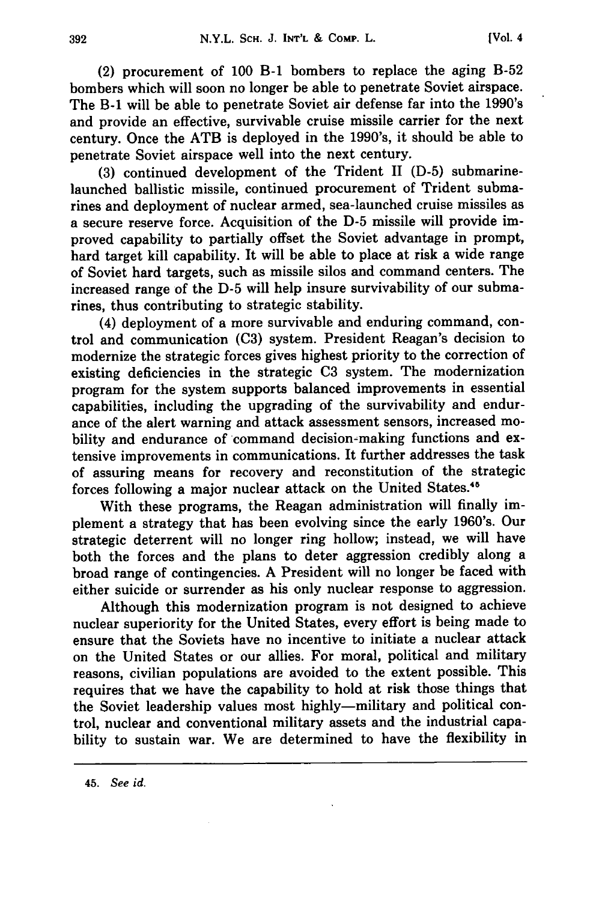(2) procurement of **100 B-1** bombers to replace the aging B-52 bombers which will soon no longer be able to penetrate Soviet airspace. The **B-1** will be able to penetrate Soviet air defense far into the 1990's and provide an effective, survivable cruise missile carrier for the next century. Once the ATB is deployed in the 1990's, it should be able to penetrate Soviet airspace well into the next century.

**(3)** continued development of the Trident II **(D-5)** submarinelaunched ballistic missile, continued procurement of Trident submarines and deployment of nuclear armed, sea-launched cruise missiles as a secure reserve force. Acquisition of the **D-5** missile will provide improved capability to partially offset the Soviet advantage in prompt, hard target kill capability. It will be able to place at risk a wide range of Soviet hard targets, such as missile silos and command centers. The increased range of the **D-5** will help insure survivability of our submarines, thus contributing to strategic stability.

(4) deployment of a more survivable and enduring command, control and communication **(03)** system. President Reagan's decision to modernize the strategic forces gives highest priority to the correction of existing deficiencies in the strategic **C3** system. The modernization program for the system supports balanced improvements in essential capabilities, including the upgrading of the survivability and endurance of the alert warning and attack assessment sensors, increased mobility and endurance of command decision-making functions and extensive improvements in communications. It further addresses the task of assuring means for recovery and reconstitution of the strategic forces following a major nuclear attack on the United States."

With these programs, the Reagan administration will finally implement a strategy that has been evolving since the early 1960's. Our strategic deterrent will no longer ring hollow; instead, we will have both the forces and the plans to deter aggression credibly along a broad range of contingencies. **A** President will no longer be faced with either suicide or surrender as his only nuclear response to aggression.

Although this modernization program is not designed to achieve nuclear superiority for the United States, every effort is being made to ensure that the Soviets have no incentive to initiate a nuclear attack on the United States or our allies. For moral, political and military reasons, civilian populations are avoided to the extent possible. This requires that we have the capability to hold at risk those things that the Soviet leadership values most highly-military and political control, nuclear and conventional military assets and the industrial capability to sustain war. We are determined to have the flexibility in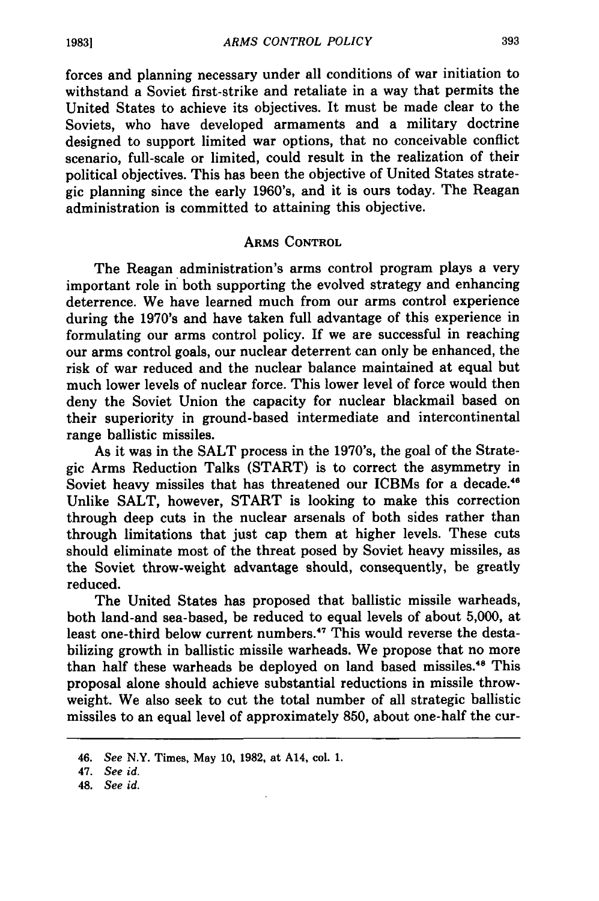forces and planning necessary under all conditions of war initiation to withstand a Soviet first-strike and retaliate in a way that permits the United States to achieve its objectives. It must be made clear to the Soviets, who have developed armaments and a military doctrine designed to support limited war options, that no conceivable conflict scenario, full-scale or limited, could result in the realization of their political objectives. This has been the objective of United States strategic planning since the early 1960's, and it is ours today. The Reagan administration is committed to attaining this objective.

#### ARMS **CONTROL**

The Reagan administration's arms control program plays a very important role in both supporting the evolved strategy and enhancing deterrence. We have learned much from our arms control experience during the 1970's and have taken full advantage of this experience in formulating our arms control policy. If we are successful in reaching our arms control goals, our nuclear deterrent can only be enhanced, the risk of war reduced and the nuclear balance maintained at equal but much lower levels of nuclear force. This lower level of force would then deny the Soviet Union the capacity for nuclear blackmail based on their superiority in ground-based intermediate and intercontinental range ballistic missiles.

As it was in the **SALT** process in the 1970's, the goal of the Strategic Arms Reduction Talks (START) is to correct the asymmetry in Soviet heavy missiles that has threatened our ICBMs for a decade.<sup>46</sup> Unlike **SALT,** however, START is looking to make this correction through deep cuts in the nuclear arsenals of both sides rather than through limitations that just cap them at higher levels. These cuts should eliminate most of the threat posed **by** Soviet heavy missiles, as the Soviet throw-weight advantage should, consequently, be greatly reduced.

The United States has proposed that ballistic missile warheads, both land-and sea-based, be reduced to equal levels of about 5,000, at least one-third below current numbers.<sup>47</sup> This would reverse the destabilizing growth in ballistic missile warheads. We propose that no more than half these warheads be deployed on land based missiles.<sup>48</sup> This proposal alone should achieve substantial reductions in missile throwweight. We also seek to cut the total number of all strategic ballistic missiles to an equal level of approximately 850, about one-half the cur-

48. *See id.*

**19831**

<sup>46.</sup> *See* N.Y. Times, May **10, 1982,** at A14, col. **1.**

<sup>47.</sup> *See id.*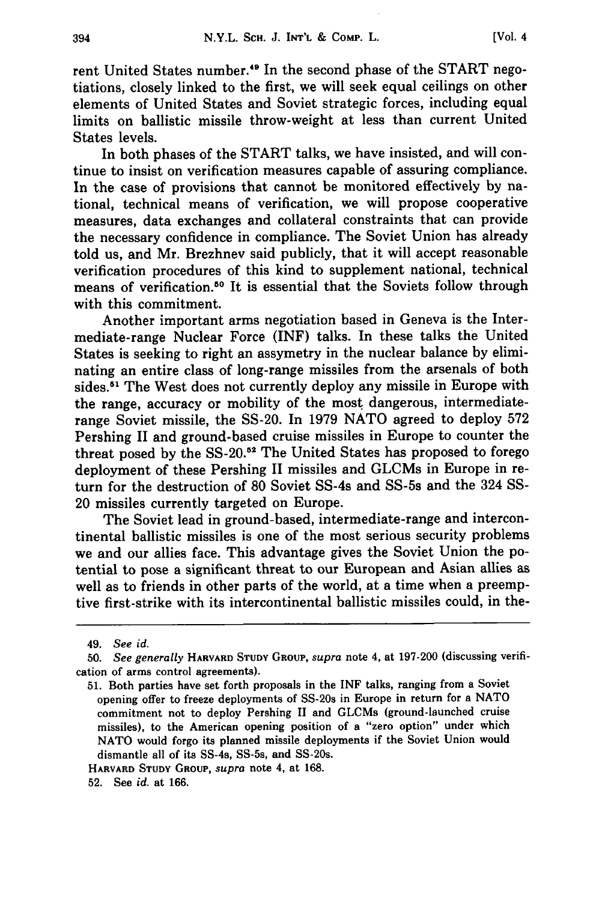rent United States number."9 In the second phase of the START negotiations, closely linked to the first, we will seek equal ceilings on other elements of United States and Soviet strategic forces, including equal limits on ballistic missile throw-weight at less than current United States levels.

In both phases of the START talks, we have insisted, and will continue to insist on verification measures capable of assuring compliance. In the case of provisions that cannot be monitored effectively by national, technical means of verification, we will propose cooperative measures, data exchanges and collateral constraints that can provide the necessary confidence in compliance. The Soviet Union has already told us, and Mr. Brezhnev said publicly, that it will accept reasonable verification procedures of this kind to supplement national, technical means of verification.<sup>50</sup> It is essential that the Soviets follow through with this commitment.

Another important arms negotiation based in Geneva is the Intermediate-range Nuclear Force (INF) talks. In these talks the United States is seeking to right an assymetry in the nuclear balance by eliminating an entire class of long-range missiles from the arsenals of both sides.<sup>51</sup> The West does not currently deploy any missile in Europe with the range, accuracy or mobility of the most dangerous, intermediaterange Soviet missile, the SS-20. In 1979 NATO agreed to deploy 572 Pershing II and ground-based cruise missiles in Europe to counter the threat posed by the **SS-20.52** The United States has proposed to forego deployment of these Pershing II missiles and GLCMs in Europe in return for the destruction of 80 Soviet SS-4s and SS-5s and the 324 SS-20 missiles currently targeted on Europe.

The Soviet lead in ground-based, intermediate-range and intercontinental ballistic missiles is one of the most serious security problems we and our allies face. This advantage gives the Soviet Union the potential to pose a significant threat to our European and Asian allies as well as to friends in other parts of the world, at a time when a preemptive first-strike with its intercontinental ballistic missiles could, in the-

**HARVARD STUDY GROUP,** *supra* note 4, at 168.

<sup>49.</sup> *See id.*

**<sup>50.</sup>** *See generally* **HARVARD STUDY** GROUP, *supra* note 4, at **197-200** (discussing verification of arms control agreements).

**<sup>51.</sup>** Both parties have set forth proposals in the INF talks, ranging from a Soviet opening offer to freeze deployments of SS-20s in Europe in return for a **NATO** commitment not to deploy Pershing **II** and GLCMs (ground-launched cruise missiles), to the American opening position of a "zero option" under which **NATO** would forgo its planned missile deployments if the Soviet Union would dismantle all of its SS-4s, SS-5s, and SS-20s.

**<sup>52.</sup>** See *id.* at **166.**